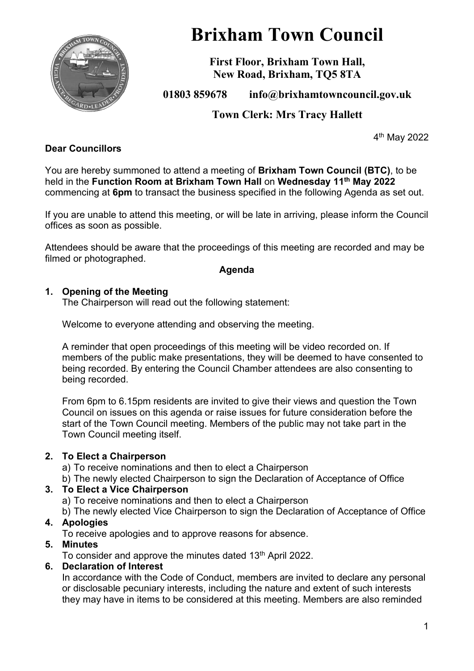

# **Brixham Town Council**

**First Floor, Brixham Town Hall, New Road, Brixham, TQ5 8TA**

# **01803 859678 info@brixhamtowncouncil.gov.uk**

# **Town Clerk: Mrs Tracy Hallett**

4 th May 2022

#### **Dear Councillors**

You are hereby summoned to attend a meeting of **Brixham Town Council (BTC)**, to be held in the **Function Room at Brixham Town Hall** on **Wednesday 11th May 2022** commencing at **6pm** to transact the business specified in the following Agenda as set out.

If you are unable to attend this meeting, or will be late in arriving, please inform the Council offices as soon as possible.

Attendees should be aware that the proceedings of this meeting are recorded and may be filmed or photographed.

#### **Agenda**

#### **1. Opening of the Meeting**

The Chairperson will read out the following statement:

Welcome to everyone attending and observing the meeting.

A reminder that open proceedings of this meeting will be video recorded on. If members of the public make presentations, they will be deemed to have consented to being recorded. By entering the Council Chamber attendees are also consenting to being recorded.

From 6pm to 6.15pm residents are invited to give their views and question the Town Council on issues on this agenda or raise issues for future consideration before the start of the Town Council meeting. Members of the public may not take part in the Town Council meeting itself.

#### **2. To Elect a Chairperson**

a) To receive nominations and then to elect a Chairperson

b) The newly elected Chairperson to sign the Declaration of Acceptance of Office

#### **3. To Elect a Vice Chairperson**

a) To receive nominations and then to elect a Chairperson

b) The newly elected Vice Chairperson to sign the Declaration of Acceptance of Office

#### **4. Apologies**

To receive apologies and to approve reasons for absence.

#### **5. Minutes**

To consider and approve the minutes dated 13<sup>th</sup> April 2022.

#### **6. Declaration of Interest**

In accordance with the Code of Conduct, members are invited to declare any personal or disclosable pecuniary interests, including the nature and extent of such interests they may have in items to be considered at this meeting. Members are also reminded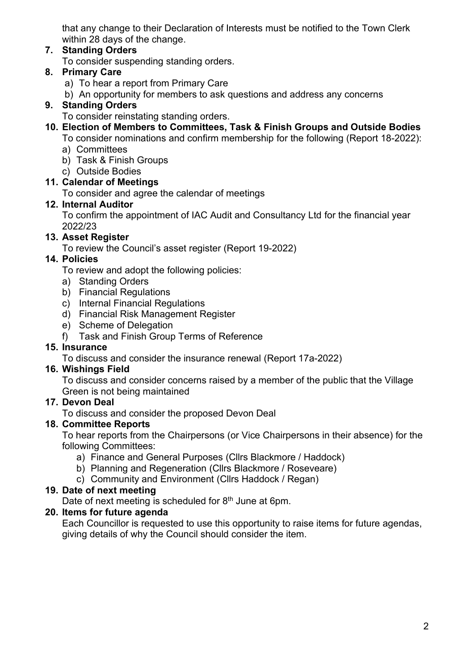that any change to their Declaration of Interests must be notified to the Town Clerk within 28 days of the change.

#### **7. Standing Orders**

To consider suspending standing orders.

## **8. Primary Care**

- a) To hear a report from Primary Care
- b) An opportunity for members to ask questions and address any concerns

#### **9. Standing Orders**

- To consider reinstating standing orders.
- **10. Election of Members to Committees, Task & Finish Groups and Outside Bodies**
	- To consider nominations and confirm membership for the following (Report 18-2022):
	- a) Committees
	- b) Task & Finish Groups
	- c) Outside Bodies

## **11. Calendar of Meetings**

To consider and agree the calendar of meetings

#### **12. Internal Auditor**

To confirm the appointment of IAC Audit and Consultancy Ltd for the financial year 2022/23

## **13. Asset Register**

To review the Council's asset register (Report 19-2022)

## **14. Policies**

To review and adopt the following policies:

- a) Standing Orders
- b) Financial Regulations
- c) Internal Financial Regulations
- d) Financial Risk Management Register
- e) Scheme of Delegation
- f) Task and Finish Group Terms of Reference

#### **15. Insurance**

To discuss and consider the insurance renewal (Report 17a-2022)

#### **16. Wishings Field**

To discuss and consider concerns raised by a member of the public that the Village Green is not being maintained

#### **17. Devon Deal**

To discuss and consider the proposed Devon Deal

## **18. Committee Reports**

To hear reports from the Chairpersons (or Vice Chairpersons in their absence) for the following Committees:

- a) Finance and General Purposes (Cllrs Blackmore / Haddock)
- b) Planning and Regeneration (Cllrs Blackmore / Roseveare)
- c) Community and Environment (Cllrs Haddock / Regan)

#### **19. Date of next meeting**

Date of next meeting is scheduled for 8<sup>th</sup> June at 6pm.

## **20. Items for future agenda**

Each Councillor is requested to use this opportunity to raise items for future agendas, giving details of why the Council should consider the item.